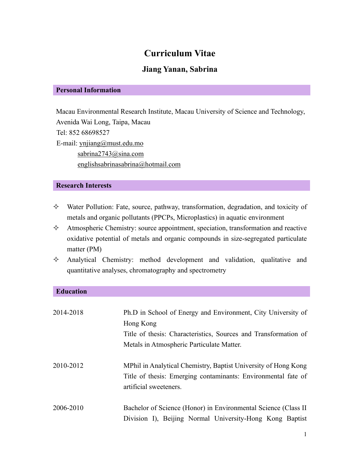# **Curriculum Vitae**

## **Jiang Yanan, Sabrina**

#### **Personal Information**

Macau Environmental Research Institute, Macau University of Science and Technology, Avenida Wai Long, Taipa, Macau Tel: 852 68698527 E-mail: [ynjiang@must.edu.mo](mailto:ynjiang@must.edu.mo) [sabrina2743@sina.com](mailto:sabrina2743@sina.com) [englishsabrinasabrina@hotmail.com](mailto:englishsabrinasabrina@hotmail.com)

#### **Research Interests**

- $\Diamond$  Water Pollution: Fate, source, pathway, transformation, degradation, and toxicity of metals and organic pollutants (PPCPs, Microplastics) in aquatic environment
- $\Diamond$  Atmospheric Chemistry: source appointment, speciation, transformation and reactive oxidative potential of metals and organic compounds in size-segregated particulate matter (PM)
- $\Diamond$  Analytical Chemistry: method development and validation, qualitative and quantitative analyses, chromatography and spectrometry

### **Education**

| 2014-2018 | Ph.D in School of Energy and Environment, City University of<br>Hong Kong<br>Title of thesis: Characteristics, Sources and Transformation of<br>Metals in Atmospheric Particulate Matter. |
|-----------|-------------------------------------------------------------------------------------------------------------------------------------------------------------------------------------------|
| 2010-2012 | MPhil in Analytical Chemistry, Baptist University of Hong Kong<br>Title of thesis: Emerging contaminants: Environmental fate of<br>artificial sweeteners.                                 |
| 2006-2010 | Bachelor of Science (Honor) in Environmental Science (Class II<br>Division I), Beijing Normal University-Hong Kong Baptist                                                                |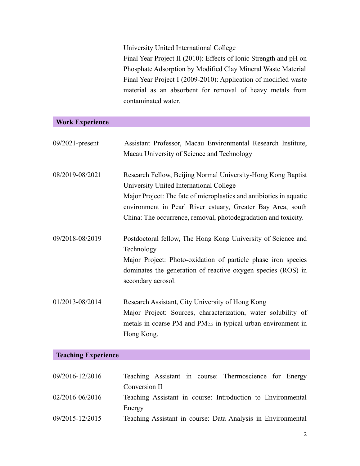University United International College

Final Year Project II (2010): Effects of Ionic Strength and pH on Phosphate Adsorption by Modified Clay Mineral Waste Material Final Year Project I (2009-2010): Application of modified waste material as an absorbent for removal of heavy metals from contaminated water.

### **Work Experience**

| $09/2021$ -present | Assistant Professor, Macau Environmental Research Institute,<br>Macau University of Science and Technology                                                                                                                                                                                                      |
|--------------------|-----------------------------------------------------------------------------------------------------------------------------------------------------------------------------------------------------------------------------------------------------------------------------------------------------------------|
| 08/2019-08/2021    | Research Fellow, Beijing Normal University-Hong Kong Baptist<br>University United International College<br>Major Project: The fate of microplastics and antibiotics in aquatic<br>environment in Pearl River estuary, Greater Bay Area, south<br>China: The occurrence, removal, photodegradation and toxicity. |
| 09/2018-08/2019    | Postdoctoral fellow, The Hong Kong University of Science and<br>Technology<br>Major Project: Photo-oxidation of particle phase iron species<br>dominates the generation of reactive oxygen species (ROS) in<br>secondary aerosol.                                                                               |
| 01/2013-08/2014    | Research Assistant, City University of Hong Kong<br>Major Project: Sources, characterization, water solubility of<br>metals in coarse PM and $PM_{2.5}$ in typical urban environment in<br>Hong Kong.                                                                                                           |

## **Teaching Experience**

| 09/2016-12/2016 | Teaching Assistant in course: Thermoscience for Energy       |
|-----------------|--------------------------------------------------------------|
|                 | Conversion II                                                |
| 02/2016-06/2016 | Teaching Assistant in course: Introduction to Environmental  |
|                 | Energy                                                       |
| 09/2015-12/2015 | Teaching Assistant in course: Data Analysis in Environmental |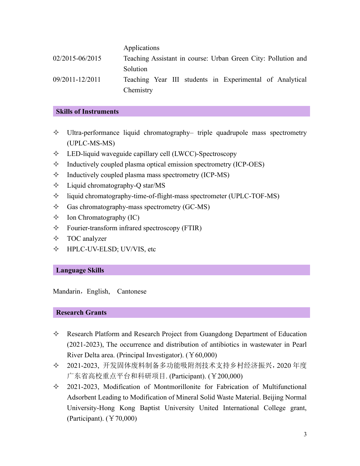|                 | Applications                                                  |
|-----------------|---------------------------------------------------------------|
| 02/2015-06/2015 | Teaching Assistant in course: Urban Green City: Pollution and |
|                 | Solution                                                      |
| 09/2011-12/2011 | Teaching Year III students in Experimental of Analytical      |
|                 | Chemistry                                                     |

#### **Skills of Instruments**

- $\Diamond$  Ultra-performance liquid chromatography– triple quadrupole mass spectrometry (UPLC-MS-MS)
- $\div$  LED-liquid waveguide capillary cell (LWCC)-Spectroscopy
- $\Diamond$  Inductively coupled plasma optical emission spectrometry (ICP-OES)
- $\Diamond$  Inductively coupled plasma mass spectrometry (ICP-MS)
- $\Diamond$  Liquid chromatography-Q star/MS
- $\Diamond$  liquid chromatography-time-of-flight-mass spectrometer (UPLC-TOF-MS)
- $\Diamond$  Gas chromatography-mass spectrometry (GC-MS)
- $\Diamond$  Ion Chromatography (IC)
- $\Diamond$  Fourier-transform infrared spectroscopy (FTIR)
- TOC analyzer
- HPLC-UV-ELSD; UV/VIS, etc

#### **Language Skills**

Mandarin, English, Cantonese

#### **Research Grants**

- $\Diamond$  Research Platform and Research Project from Guangdong Department of Education (2021-2023), The occurrence and distribution of antibiotics in wastewater in Pearl River Delta area. (Principal Investigator). (¥60,000)
- 2021-2023, 开发固体废料制备多功能吸附剂技术支持乡村经济振兴,2020 年度 广东省高校重点平台和科研项目. (Participant). (¥200,000)
- $\div$  2021-2023, Modification of Montmorillonite for Fabrication of Multifunctional Adsorbent Leading to Modification of Mineral Solid Waste Material. Beijing Normal University-Hong Kong Baptist University United International College grant, (Participant).  $(\text{\textdegree}70,000)$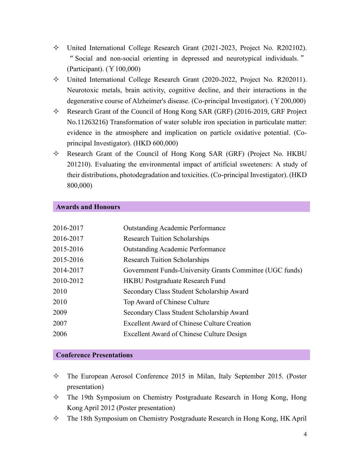- United International College Research Grant (2021-2023, Project No. R202102). "Social and non-social orienting in depressed and neurotypical individuals. " (Participant). (¥100,000)
- United International College Research Grant (2020-2022, Project No. R202011). Neurotoxic metals, brain activity, cognitive decline, and their interactions in the degenerative course of Alzheimer's disease. (Co-principal Investigator). (¥200,000)
- $\Diamond$  Research Grant of the Council of Hong Kong SAR (GRF) (2016-2019, GRF Project No.11263216) Transformation of water soluble iron speciation in particulate matter: evidence in the atmosphere and implication on particle oxidative potential. (Coprincipal Investigator). (HKD 600,000)
- $\Diamond$  Research Grant of the Council of Hong Kong SAR (GRF) (Project No. HKBU 201210). Evaluating the environmental impact of artificial sweeteners: A study of their distributions, photodegradation and toxicities. (Co-principal Investigator). (HKD 800,000)

#### **Awards and Honours**

| 2016-2017 | <b>Outstanding Academic Performance</b>                  |
|-----------|----------------------------------------------------------|
| 2016-2017 | <b>Research Tuition Scholarships</b>                     |
| 2015-2016 | <b>Outstanding Academic Performance</b>                  |
| 2015-2016 | <b>Research Tuition Scholarships</b>                     |
| 2014-2017 | Government Funds-University Grants Committee (UGC funds) |
| 2010-2012 | <b>HKBU Postgraduate Research Fund</b>                   |
| 2010      | Secondary Class Student Scholarship Award                |
| 2010      | Top Award of Chinese Culture                             |
| 2009      | Secondary Class Student Scholarship Award                |
| 2007      | <b>Excellent Award of Chinese Culture Creation</b>       |
| 2006      | Excellent Award of Chinese Culture Design                |

#### **Conference Presentations**

- $\Diamond$  The European Aerosol Conference 2015 in Milan, Italy September 2015. (Poster presentation)
- $\Diamond$  The 19th Symposium on Chemistry Postgraduate Research in Hong Kong, Hong Kong April 2012 (Poster presentation)
- The 18th Symposium on Chemistry Postgraduate Research in Hong Kong, HK April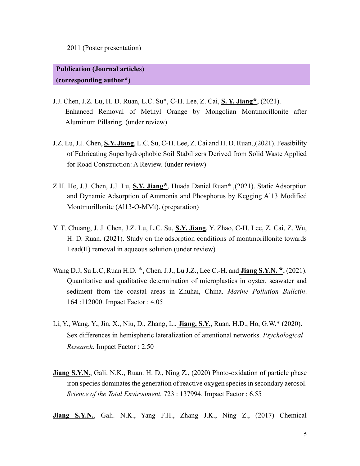2011 (Poster presentation)

## **Publication (Journal articles) (corresponding author\*)**

- J.J. Chen, J.Z. Lu, H. D. Ruan, L.C. Su\*, C-H. Lee, Z. Cai, **S. Y. Jiang\***, (2021). Enhanced Removal of Methyl Orange by Mongolian Montmorillonite after Aluminum Pillaring. (under review)
- J.Z. Lu, J.J. Chen, **S.Y. Jiang**, L.C. Su, C-H. Lee, Z. Cai and H. D. Ruan.,(2021). Feasibility of Fabricating Superhydrophobic Soil Stabilizers Derived from Solid Waste Applied for Road Construction: A Review. (under review)
- Z.H. He, J.J. Chen, J.J. Lu, **S.Y. Jiang\***, Huada Daniel Ruan\*.,(2021). Static Adsorption and Dynamic Adsorption of Ammonia and Phosphorus by Kegging Al13 Modified Montmorillonite (Al13-O-MMt). (preparation)
- Y. T. Chuang, J. J. Chen, J.Z. Lu, L.C. Su, **S.Y. Jiang**, Y. Zhao, C-H. Lee, Z. Cai, Z. Wu, H. D. Ruan. (2021). Study on the adsorption conditions of montmorillonite towards Lead(II) removal in aqueous solution (under review)
- Wang D.J, Su L.C, Ruan H.D. \*, Chen. J.J., Lu J.Z., Lee C.-H. and **Jiang S.Y.N. \***, (2021). Quantitative and qualitative determination of microplastics in oyster, seawater and sediment from the coastal areas in Zhuhai, China. *Marine Pollution Bulletin*. 164 :112000. Impact Factor : 4.05
- Li, Y., Wang, Y., Jin, X., Niu, D., Zhang, L., **Jiang, S.Y.**, Ruan, H.D., Ho, G.W.\* (2020). Sex differences in hemispheric lateralization of attentional networks. *Psychological Research.* Impact Factor : 2.50
- Jiang S.Y.N., Gali. N.K., Ruan. H. D., Ning Z., (2020) Photo-oxidation of particle phase iron species dominates the generation of reactive oxygen species in secondary aerosol. *Science of the Total Environment.* 723 : 137994. Impact Factor : 6.55
- **Jiang S.Y.N.**, Gali. N.K., Yang F.H., Zhang J.K., Ning Z., (2017) Chemical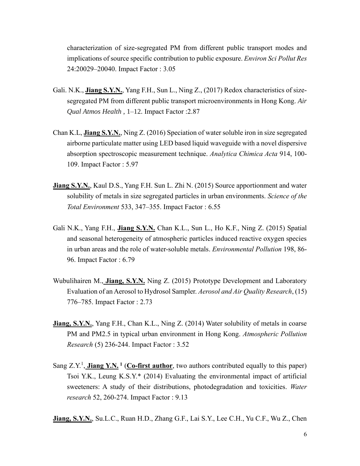characterization of size-segregated PM from different public transport modes and implications of source specific contribution to public exposure. *Environ Sci Pollut Res* 24:20029–20040. Impact Factor : 3.05

- Gali. N.K., **Jiang S.Y.N.**, Yang F.H., Sun L., Ning Z., (2017) Redox characteristics of sizesegregated PM from different public transport microenvironments in Hong Kong. *Air Qual Atmos Health* , 1–12. Impact Factor :2.87
- Chan K.L, **Jiang S.Y.N.**, Ning Z. (2016) Speciation of water soluble iron in size segregated airborne particulate matter using LED based liquid waveguide with a novel dispersive absorption spectroscopic measurement technique. *Analytica Chimica Acta* 914, 100- 109. Impact Factor : 5.97
- **Jiang S.Y.N.**, Kaul D.S., Yang F.H. Sun L. Zhi N. (2015) Source apportionment and water solubility of metals in size segregated particles in urban environments. *Science of the Total Environment* 533, 347–355. Impact Factor : 6.55
- Gali N.K., Yang F.H., **Jiang S.Y.N.** Chan K.L., Sun L., Ho K.F., Ning Z. (2015) Spatial and seasonal heterogeneity of atmospheric particles induced reactive oxygen species in urban areas and the role of water-soluble metals. *Environmental Pollution* 198, 86- 96. Impact Factor : 6.79
- Wubulihairen M., **Jiang, S.Y.N.** Ning Z. (2015) Prototype Development and Laboratory Evaluation of an Aerosol to Hydrosol Sampler. *Aerosol and Air Quality Research*, (15) 776–785. Impact Factor : 2.73
- **Jiang, S.Y.N.,** Yang F.H., Chan K.L., Ning Z. (2014) Water solubility of metals in coarse PM and PM2.5 in typical urban environment in Hong Kong. *Atmospheric Pollution Research* (5) 236-244. Impact Factor : 3.52
- Sang Z.Y.<sup>1</sup>, Jiang Y.N.<sup>1</sup> (Co-first author, two authors contributed equally to this paper) Tsoi Y.K., Leung K.S.Y.\* (2014) Evaluating the environmental impact of artificial sweeteners: A study of their distributions, photodegradation and toxicities. *Water research* 52, 260-274. Impact Factor : 9.13
- **Jiang, S.Y.N.**, Su.L.C., Ruan H.D., Zhang G.F., Lai S.Y., Lee C.H., Yu C.F., Wu Z., Chen